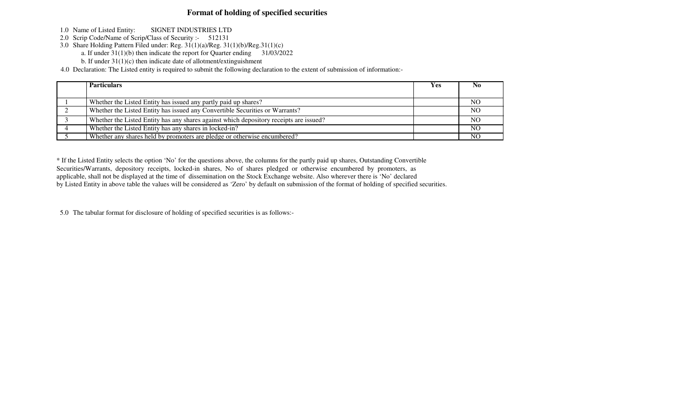## **Format of holding of specified securities**

- 1.0 Name of Listed Entity: SIGNET INDUSTRIES LTD
- 2.0 Scrip Code/Name of Scrip/Class of Security :- 512131
- 3.0 Share Holding Pattern Filed under: Reg. 31(1)(a)/Reg. 31(1)(b)/Reg.31(1)(c)
	- a. If under 31(1)(b) then indicate the report for Quarter ending 31/03/2022
	- b. If under 31(1)(c) then indicate date of allotment/extinguishment

4.0 Declaration: The Listed entity is required to submit the following declaration to the extent of submission of information:-

| <b>Particulars</b>                                                                     | Yes. | N <sub>0</sub> |
|----------------------------------------------------------------------------------------|------|----------------|
|                                                                                        |      |                |
| Whether the Listed Entity has issued any partly paid up shares?                        |      | N <sub>O</sub> |
| Whether the Listed Entity has issued any Convertible Securities or Warrants?           |      | N <sub>O</sub> |
| Whether the Listed Entity has any shares against which depository receipts are issued? |      | N <sub>O</sub> |
| Whether the Listed Entity has any shares in locked-in?                                 |      | N <sub>O</sub> |
| Whether any shares held by promoters are pledge or otherwise encumbered?               |      | NO             |

\* If the Listed Entity selects the option 'No' for the questions above, the columns for the partly paid up shares, Outstanding ConvertibleSecurities/Warrants, depository receipts, locked-in shares, No of shares pledged or otherwise encumbered by promoters, as applicable, shall not be displayed at the time of dissemination on the Stock Exchange website. Also wherever there is 'No' declaredby Listed Entity in above table the values will be considered as 'Zero' by default on submission of the format of holding of specified securities.

5.0 The tabular format for disclosure of holding of specified securities is as follows:-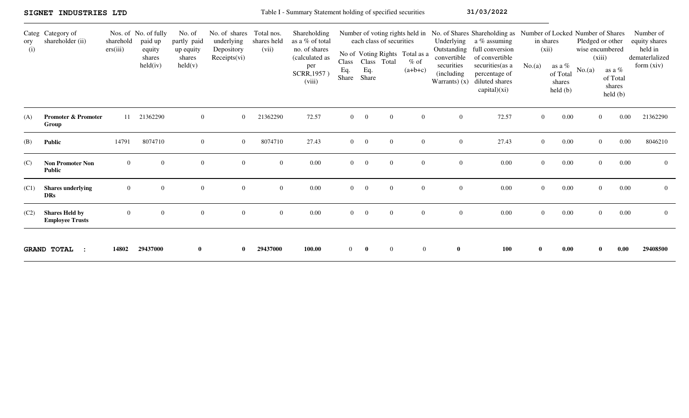|            | SIGNET INDUSTRIES LTD                           |                       |                                                                 |                                                                  |                                                           |                                    | Table I - Summary Statement holding of specified securities                                        |                              |                |                                         |                                                                                          |                                                            | 31/03/2022                                                                                                                                                                                                          |                |                                                                                |                                     |                                                                                 |                                                                       |
|------------|-------------------------------------------------|-----------------------|-----------------------------------------------------------------|------------------------------------------------------------------|-----------------------------------------------------------|------------------------------------|----------------------------------------------------------------------------------------------------|------------------------------|----------------|-----------------------------------------|------------------------------------------------------------------------------------------|------------------------------------------------------------|---------------------------------------------------------------------------------------------------------------------------------------------------------------------------------------------------------------------|----------------|--------------------------------------------------------------------------------|-------------------------------------|---------------------------------------------------------------------------------|-----------------------------------------------------------------------|
| ory<br>(i) | Categ Category of<br>shareholder (ii)           | sharehold<br>ers(iii) | Nos. of No. of fully<br>paid up<br>equity<br>shares<br>held(iv) | No. of<br>partly paid<br>up equity<br>shares<br>$\text{held}(v)$ | No. of shares<br>underlying<br>Depository<br>Receipts(vi) | Total nos.<br>shares held<br>(vii) | Shareholding<br>as a % of total<br>no. of shares<br>(calculated as<br>per<br>SCRR, 1957)<br>(viii) | <b>Class</b><br>Eq.<br>Share | Eq.<br>Share   | each class of securities<br>Class Total | Number of voting rights held in<br>No of Voting Rights Total as a<br>$%$ of<br>$(a+b+c)$ | convertible<br>securities<br>(including)<br>Warrants $(x)$ | No. of Shares Shareholding as Number of Locked Number of Shares<br>Underlying $a\%$ assuming<br>Outstanding full conversion<br>of convertible<br>securities(as a<br>percentage of<br>diluted shares<br>capital)(xi) | No.(a)         | in shares<br>(xii)<br>as a %<br>of Total<br>shares<br>$\text{held }(\text{b})$ | wise encumbered<br>(xiii)<br>No.(a) | Pledged or other<br>as a $\%$<br>of Total<br>shares<br>$\text{held }(\text{b})$ | Number of<br>equity shares<br>held in<br>dematerlalized<br>form (xiv) |
| (A)        | <b>Promoter &amp; Promoter</b><br>Group         | 11                    | 21362290                                                        | $\overline{0}$                                                   | $\overline{0}$                                            | 21362290                           | 72.57                                                                                              | $\overline{0}$               | $\bf{0}$       | $\overline{0}$                          | $\overline{0}$                                                                           | $\overline{0}$                                             | 72.57                                                                                                                                                                                                               | $\overline{0}$ | 0.00                                                                           |                                     | 0.00<br>$\overline{0}$                                                          | 21362290                                                              |
| (B)        | <b>Public</b>                                   | 14791                 | 8074710                                                         | $\boldsymbol{0}$                                                 | $\overline{0}$                                            | 8074710                            | 27.43                                                                                              | $\overline{0}$               | $\overline{0}$ | $\mathbf{0}$                            | $\overline{0}$                                                                           | $\overline{0}$                                             | 27.43                                                                                                                                                                                                               | $\overline{0}$ | 0.00                                                                           |                                     | 0.00<br>$\overline{0}$                                                          | 8046210                                                               |
| (C)        | <b>Non Promoter Non</b><br><b>Public</b>        | $\overline{0}$        | $\overline{0}$                                                  | $\overline{0}$                                                   | $\overline{0}$                                            | $\overline{0}$                     | 0.00                                                                                               | $\overline{0}$               | $\overline{0}$ | $\overline{0}$                          | $\overline{0}$                                                                           | $\overline{0}$                                             | 0.00                                                                                                                                                                                                                | $\overline{0}$ | 0.00                                                                           |                                     | 0.00<br>$\overline{0}$                                                          | $\overline{0}$                                                        |
| (C1)       | <b>Shares</b> underlying<br><b>DRs</b>          | $\mathbf{0}$          | $\Omega$                                                        | $\boldsymbol{0}$                                                 | $\overline{0}$                                            | $\overline{0}$                     | 0.00                                                                                               | $\overline{0}$               | $\overline{0}$ | $\theta$                                | $\overline{0}$                                                                           | $\overline{0}$                                             | 0.00                                                                                                                                                                                                                | $\overline{0}$ | 0.00                                                                           |                                     | 0.00<br>$\overline{0}$                                                          | $\overline{0}$                                                        |
| (C2)       | <b>Shares Held by</b><br><b>Employee Trusts</b> | $\overline{0}$        | $\overline{0}$                                                  | $\overline{0}$                                                   | $\overline{0}$                                            | $\overline{0}$                     | 0.00                                                                                               | $\overline{0}$               | $\overline{0}$ | $\overline{0}$                          | $\overline{0}$                                                                           | $\overline{0}$                                             | 0.00                                                                                                                                                                                                                | $\Omega$       | 0.00                                                                           |                                     | $\Omega$<br>0.00                                                                | $\overline{0}$                                                        |
|            | <b>GRAND TOTAL</b>                              | 14802                 | 29437000                                                        | $\bf{0}$                                                         |                                                           | 29437000                           | 100.00                                                                                             | $\overline{0}$               | $\bf{0}$       | $\mathbf{0}$                            | $\overline{0}$                                                                           | $\bf{0}$                                                   | 100                                                                                                                                                                                                                 | $\mathbf{0}$   | 0.00                                                                           |                                     | 0.00                                                                            | 29408500                                                              |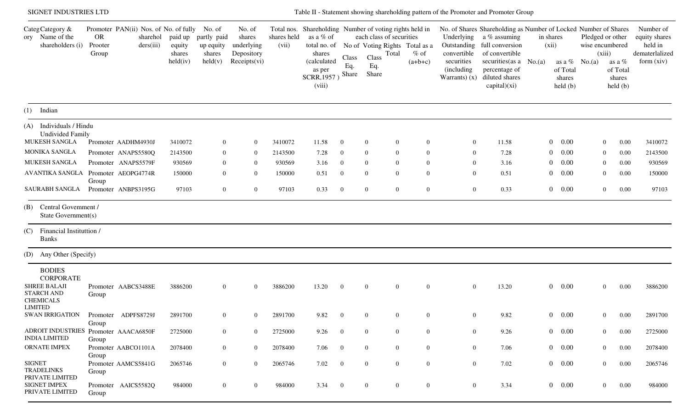| SIGNET INDUSTRIES LTD                                                                                                                                                                                                                                                                |                                                                                                                                                                                                                       |                                                               |                                                                                                |                                                                                                      |                                                               |                                                                                                                                                  |                                                                                                        |                                                                                                  |                                                                                                                                                                                                         |                                                                                                  | Table II - Statement showing shareholding pattern of the Promoter and Promoter Group                                                                                                                                        |                                      |                                                                      |                                                                                        |                                                                                                                                                        |                                                                         |
|--------------------------------------------------------------------------------------------------------------------------------------------------------------------------------------------------------------------------------------------------------------------------------------|-----------------------------------------------------------------------------------------------------------------------------------------------------------------------------------------------------------------------|---------------------------------------------------------------|------------------------------------------------------------------------------------------------|------------------------------------------------------------------------------------------------------|---------------------------------------------------------------|--------------------------------------------------------------------------------------------------------------------------------------------------|--------------------------------------------------------------------------------------------------------|--------------------------------------------------------------------------------------------------|---------------------------------------------------------------------------------------------------------------------------------------------------------------------------------------------------------|--------------------------------------------------------------------------------------------------|-----------------------------------------------------------------------------------------------------------------------------------------------------------------------------------------------------------------------------|--------------------------------------|----------------------------------------------------------------------|----------------------------------------------------------------------------------------|--------------------------------------------------------------------------------------------------------------------------------------------------------|-------------------------------------------------------------------------|
| CategCategory &<br>ory Name of the<br>shareholders (i)                                                                                                                                                                                                                               | Promoter PAN(ii) Nos. of No. of fully No. of<br><b>OR</b><br>sharehol<br>Prooter<br>ders(iii)<br>Group                                                                                                                | paid up<br>equity<br>shares<br>held(iv)                       | partly paid<br>up equity<br>shares<br>$\text{held}(v)$                                         | No. of<br>shares<br>underlying<br>Depository<br>Receipts(vi)                                         | shares held<br>(vii)                                          | Total nos. Shareholding Number of voting rights held in<br>as a % of<br>total no. of<br>shares<br>(calculated<br>as per<br>SCRR, 1957)<br>(viii) | Class<br>Eq.<br>Share                                                                                  | each class of securities<br>Total<br>Class<br>Eq.<br>Share                                       | No of Voting Rights Total as a<br>$%$ of<br>$(a+b+c)$                                                                                                                                                   | Underlying<br>Outstanding<br>convertible<br>securities<br>(including)<br>Warrants $(x)$          | No. of Shares Shareholding as Number of Locked Number of Shares<br>a % assuming<br>full conversion<br>of convertible<br>securities (as $a \text{No.}(a)$<br>percentage of<br>diluted shares<br>$\text{capital})(\text{xi})$ | in shares<br>(xii)                   | as a $\%$ No.(a)<br>of Total<br>shares<br>held(b)                    | Pledged or other<br>wise encumbered<br>(xiii)                                          | as a %<br>of Total<br>shares<br>$\text{held }(\text{b})$                                                                                               | Number of<br>equity shares<br>held in<br>dematerlalized<br>form $(xiv)$ |
| $(1)$ Indian                                                                                                                                                                                                                                                                         |                                                                                                                                                                                                                       |                                                               |                                                                                                |                                                                                                      |                                                               |                                                                                                                                                  |                                                                                                        |                                                                                                  |                                                                                                                                                                                                         |                                                                                                  |                                                                                                                                                                                                                             |                                      |                                                                      |                                                                                        |                                                                                                                                                        |                                                                         |
| (A) Individuals / Hindu<br><b>Undivided Family</b><br>MUKESH SANGLA<br>MONIKA SANGLA<br>MUKESH SANGLA<br>AVANTIKA SANGLA<br><b>SAURABH SANGLA</b><br>Central Government /<br>(B)<br>State Government(s)<br>Financial Instituttion/<br>(C)<br><b>Banks</b><br>(D) Any Other (Specify) | Promoter AADHM4930J<br>Promoter ANAPS5580Q<br>Promoter ANAPS5579F<br>Promoter AEOPG4774R<br>Group<br>Promoter ANBPS3195G                                                                                              | 3410072<br>2143500<br>930569<br>150000<br>97103               | $\overline{0}$<br>$\theta$<br>$\theta$<br>$\overline{0}$<br>$\overline{0}$                     | $\mathbf{0}$<br>$\mathbf{0}$<br>$\overline{0}$<br>$\overline{0}$<br>$\mathbf{0}$                     | 3410072<br>2143500<br>930569<br>150000<br>97103               | 11.58<br>7.28<br>3.16<br>0.51<br>0.33                                                                                                            | $\overline{0}$<br>$\overline{0}$<br>$\overline{0}$<br>$\overline{0}$<br>$\overline{0}$                 | $\mathbf{0}$<br>$\overline{0}$<br>$\theta$<br>$\overline{0}$<br>$\overline{0}$                   | $\overline{0}$<br>$\overline{0}$<br>$\overline{0}$<br>$\Omega$<br>$\overline{0}$<br>$\overline{0}$<br>$\overline{0}$<br>$\Omega$<br>$\mathbf{0}$<br>$\overline{0}$                                      | $\overline{0}$<br>$\overline{0}$<br>$\theta$<br>$\mathbf{0}$<br>$\overline{0}$                   | 11.58<br>7.28<br>3.16<br>0.51<br>0.33                                                                                                                                                                                       | 0<br>$\theta$<br>0<br>$\overline{0}$ | 0.00<br>0.00<br>0.00<br>0.00<br>$0 \t 0.00$                          | $\overline{0}$<br>$\overline{0}$<br>$\overline{0}$<br>$\boldsymbol{0}$<br>$\mathbf{0}$ | 0.00<br>0.00<br>0.00<br>0.00<br>0.00                                                                                                                   | 3410072<br>2143500<br>930569<br>150000<br>97103                         |
| <b>BODIES</b><br><b>CORPORATE</b><br><b>SHREE BALAJI</b><br><b>STARCH AND</b><br><b>CHEMICALS</b><br><b>LIMITED</b><br><b>INDIA LIMITED</b><br>ORNATE IMPEX<br><b>SIGNET</b><br><b>TRADELINKS</b><br>PRIVATE LIMITED<br><b>SIGNET IMPEX</b>                                          | Promoter AABCS3488E<br>Group<br>SWAN IRRIGATION Promoter ADPFS8729J<br>Group<br>ADROIT INDUSTRIES Promoter AAACA6850F<br>Group<br>Promoter AABCO1101A<br>Group<br>Promoter AAMCS5841G<br>Group<br>Promoter AAICS5582Q | 3886200<br>2891700<br>2725000<br>2078400<br>2065746<br>984000 | $\overline{0}$<br>$\theta$<br>$\mathbf{0}$<br>$\mathbf{0}$<br>$\overline{0}$<br>$\overline{0}$ | $\overline{0}$<br>$\mathbf{0}$<br>$\overline{0}$<br>$\overline{0}$<br>$\overline{0}$<br>$\mathbf{0}$ | 3886200<br>2891700<br>2725000<br>2078400<br>2065746<br>984000 | 13.20<br>9.82<br>9.26<br>7.06<br>7.02<br>3.34                                                                                                    | $\overline{0}$<br>$\mathbf{0}$<br>$\overline{0}$<br>$\overline{0}$<br>$\overline{0}$<br>$\overline{0}$ | $\overline{0}$<br>$\theta$<br>$\overline{0}$<br>$\overline{0}$<br>$\mathbf{0}$<br>$\overline{0}$ | $\overline{0}$<br>$\overline{0}$<br>0<br>$\mathbf{0}$<br>$\boldsymbol{0}$<br>$\overline{0}$<br>$\overline{0}$<br>$\overline{0}$<br>$\overline{0}$<br>$\boldsymbol{0}$<br>$\mathbf{0}$<br>$\overline{0}$ | $\bf{0}$<br>$\overline{0}$<br>$\overline{0}$<br>$\overline{0}$<br>$\overline{0}$<br>$\mathbf{0}$ | 13.20<br>9.82<br>9.26<br>7.06<br>7.02<br>3.34                                                                                                                                                                               |                                      | 0 0.00<br>$0\quad 0.00$<br>0 0.00<br>0 0.00<br>$0 \t 0.00$<br>0 0.00 |                                                                                        | 0.00<br>$\mathbf{0}$<br>$\boldsymbol{0}$<br>0.00<br>$\overline{0}$<br>0.00<br>$\mathbf{0}$<br>0.00<br>$\overline{0}$<br>0.00<br>$\overline{0}$<br>0.00 | 3886200<br>2891700<br>2725000<br>2078400<br>2065746<br>984000           |
| PRIVATE LIMITED                                                                                                                                                                                                                                                                      | Group                                                                                                                                                                                                                 |                                                               |                                                                                                |                                                                                                      |                                                               |                                                                                                                                                  |                                                                                                        |                                                                                                  |                                                                                                                                                                                                         |                                                                                                  |                                                                                                                                                                                                                             |                                      |                                                                      |                                                                                        |                                                                                                                                                        |                                                                         |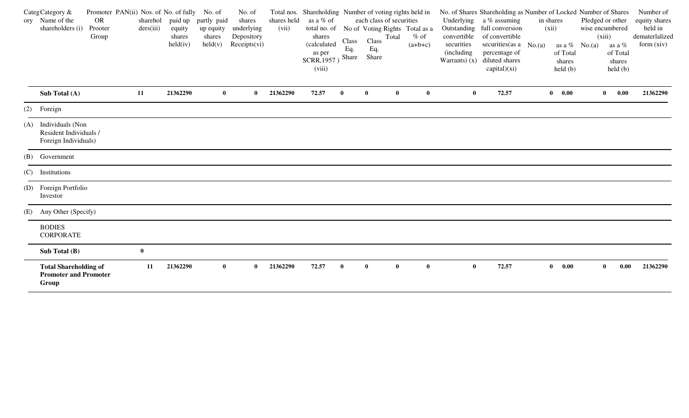|     | CategCategory &<br>ory Name of the<br>shareholders (i)                | Promoter PAN(ii) Nos. of No. of fully No. of<br>OR<br>Prooter<br>Group | sharehol<br>ders(iii) | equity<br>shares<br>held(iv) | paid up partly paid<br>up equity<br>shares<br>$\text{held}(v)$ | No. of<br>shares<br>underlying<br>Depository<br>Receipts(vi) | shares held<br>(vii) | Total nos. Shareholding Number of voting rights held in<br>as a % of<br>total no. of No of Voting Rights Total as a<br>shares<br>(calculated) | Class<br>Eq. | each class of securities<br>Class<br>Eq. | Total    | $%$ of<br>$(a+b+c)$ | Underlying<br>Outstanding<br>convertible<br>securities | No. of Shares Shareholding as Number of Locked Number of Shares<br>a % assuming<br>full conversion<br>of convertible<br>securities (as $a \ No.(a)$ | in shares<br>(xii) |                                               | as a $%$ No.(a) | Pledged or other<br>wise encumbered<br>(xiii)<br>as a % | Number of<br>equity shares<br>held in<br>dematerlalized<br>form (xiv) |
|-----|-----------------------------------------------------------------------|------------------------------------------------------------------------|-----------------------|------------------------------|----------------------------------------------------------------|--------------------------------------------------------------|----------------------|-----------------------------------------------------------------------------------------------------------------------------------------------|--------------|------------------------------------------|----------|---------------------|--------------------------------------------------------|-----------------------------------------------------------------------------------------------------------------------------------------------------|--------------------|-----------------------------------------------|-----------------|---------------------------------------------------------|-----------------------------------------------------------------------|
|     |                                                                       |                                                                        |                       |                              |                                                                |                                                              |                      | as per<br>SCRR, 1957)<br>(viii)                                                                                                               | Share        | Share                                    |          |                     | (including)<br>Warrants $(x)$                          | percentage of<br>diluted shares<br>capital)(xi)                                                                                                     |                    | of Total<br>shares<br>$\text{held}(\text{b})$ |                 | of Total<br>shares<br>held(b)                           |                                                                       |
|     | Sub Total (A)                                                         |                                                                        | 11                    | 21362290                     | $\bf{0}$                                                       | $\bf{0}$                                                     | 21362290             | 72.57                                                                                                                                         | $\bf{0}$     | $\mathbf{0}$                             | $\bf{0}$ | $\bf{0}$            | $\bf{0}$                                               | 72.57                                                                                                                                               |                    | $\begin{matrix} 0 & 0.00 \end{matrix}$        |                 | 0.00<br>$\bf{0}$                                        | 21362290                                                              |
|     | (2) Foreign                                                           |                                                                        |                       |                              |                                                                |                                                              |                      |                                                                                                                                               |              |                                          |          |                     |                                                        |                                                                                                                                                     |                    |                                               |                 |                                                         |                                                                       |
| (A) | Individuals (Non<br>Resident Individuals /<br>Foreign Individuals)    |                                                                        |                       |                              |                                                                |                                                              |                      |                                                                                                                                               |              |                                          |          |                     |                                                        |                                                                                                                                                     |                    |                                               |                 |                                                         |                                                                       |
|     | (B) Government                                                        |                                                                        |                       |                              |                                                                |                                                              |                      |                                                                                                                                               |              |                                          |          |                     |                                                        |                                                                                                                                                     |                    |                                               |                 |                                                         |                                                                       |
|     | (C) Institutions                                                      |                                                                        |                       |                              |                                                                |                                                              |                      |                                                                                                                                               |              |                                          |          |                     |                                                        |                                                                                                                                                     |                    |                                               |                 |                                                         |                                                                       |
|     | (D) Foreign Portfolio<br>Investor                                     |                                                                        |                       |                              |                                                                |                                                              |                      |                                                                                                                                               |              |                                          |          |                     |                                                        |                                                                                                                                                     |                    |                                               |                 |                                                         |                                                                       |
|     | (E) Any Other (Specify)                                               |                                                                        |                       |                              |                                                                |                                                              |                      |                                                                                                                                               |              |                                          |          |                     |                                                        |                                                                                                                                                     |                    |                                               |                 |                                                         |                                                                       |
|     | <b>BODIES</b><br><b>CORPORATE</b>                                     |                                                                        |                       |                              |                                                                |                                                              |                      |                                                                                                                                               |              |                                          |          |                     |                                                        |                                                                                                                                                     |                    |                                               |                 |                                                         |                                                                       |
|     | Sub Total (B)                                                         |                                                                        | $\bf{0}$              |                              |                                                                |                                                              |                      |                                                                                                                                               |              |                                          |          |                     |                                                        |                                                                                                                                                     |                    |                                               |                 |                                                         |                                                                       |
|     | <b>Total Shareholding of</b><br><b>Promoter and Promoter</b><br>Group |                                                                        | 11                    | 21362290                     | $\mathbf{0}$                                                   | $\bf{0}$                                                     | 21362290             | 72.57                                                                                                                                         | $\bf{0}$     | $\bf{0}$                                 | $\bf{0}$ | $\bf{0}$            | $\bf{0}$                                               | 72.57                                                                                                                                               |                    | $\begin{matrix} 0 & 0.00 \end{matrix}$        |                 | 0.00<br>$\bf{0}$                                        | 21362290                                                              |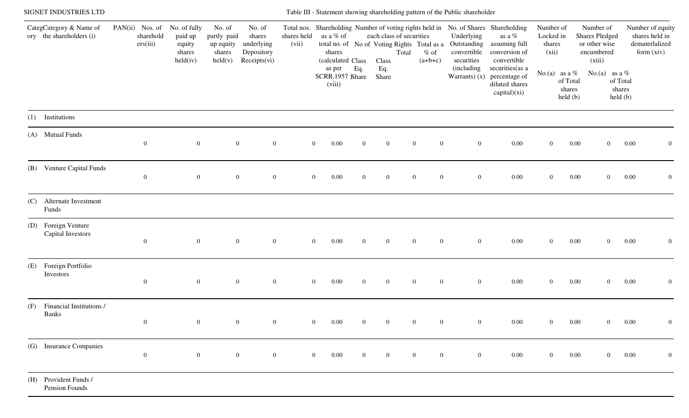|     | SIGNET INDUSTRIES LTD                               |                                          |                                                         |                                                                  |                                                              |                      |                                          |                |                                   |                                                                             | Table III - Statement showing shareholding pattern of the Public shareholder |                                                                                                                                                              |                                           |                               |                                                                             |                                                                    |
|-----|-----------------------------------------------------|------------------------------------------|---------------------------------------------------------|------------------------------------------------------------------|--------------------------------------------------------------|----------------------|------------------------------------------|----------------|-----------------------------------|-----------------------------------------------------------------------------|------------------------------------------------------------------------------|--------------------------------------------------------------------------------------------------------------------------------------------------------------|-------------------------------------------|-------------------------------|-----------------------------------------------------------------------------|--------------------------------------------------------------------|
|     | CategCategory & Name of<br>ory the shareholders (i) | PAN(ii) Nos. of<br>sharehold<br>ers(iii) | No. of fully<br>paid up<br>equity<br>shares<br>held(iv) | No. of<br>partly paid<br>up equity<br>shares<br>$\text{held}(v)$ | No. of<br>shares<br>underlying<br>Depository<br>Receipts(vi) | shares held<br>(vii) | as a % of<br>shares<br>(calculated Class |                | each class of securities<br>Class | total no. of No of Voting Rights Total as a<br>$%$ of<br>Total<br>$(a+b+c)$ | Underlying<br>convertible<br>securities                                      | Total nos. Shareholding Number of voting rights held in No. of Shares Shareholding<br>as a $\%$<br>Outstanding assuming full<br>conversion of<br>convertible | Number of<br>Locked in<br>shares<br>(xii) |                               | Number of<br><b>Shares Pledged</b><br>or other wise<br>encumbered<br>(xiii) | Number of equity<br>shares held in<br>dematerlalized<br>form (xiv) |
|     |                                                     |                                          |                                                         |                                                                  |                                                              |                      | as per<br>SCRR, 1957 Share<br>(viii)     | Eq.            | Eq.<br>Share                      |                                                                             | (including                                                                   | securities (as a<br>Warrants) $(x)$ percentage of<br>diluted shares<br>capital)(xi)                                                                          | No.(a) as a $%$                           | of Total<br>shares<br>held(b) | No.(a) as a %                                                               | of Total<br>shares<br>held(b)                                      |
| (1) | Institutions                                        |                                          |                                                         |                                                                  |                                                              |                      |                                          |                |                                   |                                                                             |                                                                              |                                                                                                                                                              |                                           |                               |                                                                             |                                                                    |
|     | (A) Mutual Funds                                    | $\overline{0}$                           | $\overline{0}$                                          | $\overline{0}$                                                   | $\overline{0}$                                               |                      | 0.00<br>$\overline{0}$                   | $\mathbf{0}$   | $\mathbf{0}$                      | $\overline{0}$<br>$\overline{0}$                                            | $\mathbf{0}$                                                                 | $0.00\,$                                                                                                                                                     | $\mathbf{0}$                              | $0.00\,$                      | $\overline{0}$                                                              | 0.00<br>$\overline{0}$                                             |
|     | (B) Venture Capital Funds                           | $\overline{0}$                           | $\overline{0}$                                          | $\mathbf{0}$                                                     | $\overline{0}$                                               |                      | 0.00<br>$\overline{0}$                   | $\overline{0}$ | $\overline{0}$                    | $\overline{0}$<br>$\overline{0}$                                            | $\overline{0}$                                                               | $0.00\,$                                                                                                                                                     | $\mathbf{0}$                              | $0.00\,$                      | $\overline{0}$                                                              | 0.00<br>$\overline{0}$                                             |
| (C) | Alternate Investment<br>Funds                       |                                          |                                                         |                                                                  |                                                              |                      |                                          |                |                                   |                                                                             |                                                                              |                                                                                                                                                              |                                           |                               |                                                                             |                                                                    |
| (D) | Foreign Venture<br>Capital Investors                | $\overline{0}$                           | $\overline{0}$                                          | $\boldsymbol{0}$                                                 | $\mathbf{0}$                                                 |                      | 0.00<br>$\mathbf{0}$                     | $\overline{0}$ | $\bf{0}$                          | $\overline{0}$<br>$\overline{0}$                                            | $\overline{0}$                                                               | 0.00                                                                                                                                                         | $\mathbf{0}$                              | $0.00\,$                      | $\overline{0}$                                                              | 0.00<br>$\mathbf{0}$                                               |
| (E) | Foreign Portfolio<br>Investors                      | $\overline{0}$                           | $\overline{0}$                                          | $\boldsymbol{0}$                                                 | $\overline{0}$                                               |                      | $\overline{0}$<br>0.00                   | $\mathbf{0}$   | $\bf{0}$                          | $\overline{0}$<br>$\overline{0}$                                            | $\overline{0}$                                                               | $0.00\,$                                                                                                                                                     | $\mathbf{0}$                              | $0.00\,$                      | $\overline{0}$                                                              | 0.00<br>$\overline{0}$                                             |
| (F) | Financial Institutions /<br><b>Banks</b>            | $\mathbf{0}$                             | $\overline{0}$                                          | $\boldsymbol{0}$                                                 | $\mathbf{0}$                                                 |                      | 0.00<br>$\mathbf{0}$                     |                | $\overline{0}$                    | $\theta$                                                                    | $\overline{0}$                                                               | $0.00\,$                                                                                                                                                     | $\overline{0}$                            | $0.00\,$                      | $\overline{0}$                                                              | 0.00<br>$\boldsymbol{0}$                                           |
|     | (G) Insurance Companies                             | $\mathbf{0}$                             | $\overline{0}$                                          | $\boldsymbol{0}$                                                 | $\mathbf{0}$                                                 |                      | $\overline{0}$<br>0.00                   | $\overline{0}$ | $\bf{0}$                          | $\overline{0}$<br>$\overline{0}$                                            | $\overline{0}$                                                               | $0.00\,$                                                                                                                                                     | $\overline{0}$                            | $0.00\,$                      | $\overline{0}$                                                              | 0.00<br>$\mathbf{0}$                                               |
|     | (H) Provident Funds /<br>Pension Founds             |                                          |                                                         |                                                                  |                                                              |                      |                                          |                |                                   |                                                                             |                                                                              |                                                                                                                                                              |                                           |                               |                                                                             |                                                                    |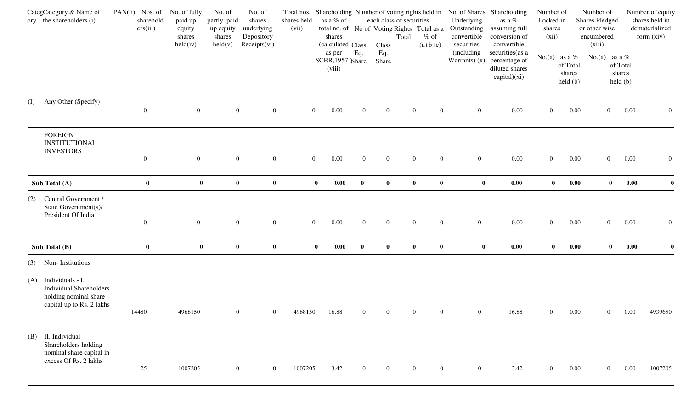|     | CategCategory & Name of<br>ory the shareholders (i)                                                      | PAN(ii) Nos. of<br>sharehold<br>ers(iii) | No. of fully<br>paid up<br>equity<br>shares<br>held(iv) | No. of<br>No. of<br>partly paid<br>shares<br>underlying<br>up equity<br>Depository<br>shares<br>Receipts(vi)<br>$\text{held}(v)$ |                  | shares held<br>(vii) | as a % of<br>shares<br>(calculated Class |                  | each class of securities<br>Total<br>Class | Total nos. Shareholding Number of voting rights held in<br>total no. of No of Voting Rights Total as a<br>$%$ of<br>$(a+b+c)$ | Underlying<br>Outstanding<br>convertible<br>securities | No. of Shares Shareholding<br>as a $\%$<br>assuming full<br>conversion of<br>convertible | Number of<br>Locked in<br>shares<br>(xii) |                                                                   | Number of<br><b>Shares Pledged</b><br>or other wise<br>encumbered<br>(xiii) |                                               | Number of equity<br>shares held in<br>dematerlalized<br>form (xiv) |
|-----|----------------------------------------------------------------------------------------------------------|------------------------------------------|---------------------------------------------------------|----------------------------------------------------------------------------------------------------------------------------------|------------------|----------------------|------------------------------------------|------------------|--------------------------------------------|-------------------------------------------------------------------------------------------------------------------------------|--------------------------------------------------------|------------------------------------------------------------------------------------------|-------------------------------------------|-------------------------------------------------------------------|-----------------------------------------------------------------------------|-----------------------------------------------|--------------------------------------------------------------------|
|     |                                                                                                          |                                          |                                                         |                                                                                                                                  |                  |                      | as per<br>SCRR, 1957 Share<br>(viii)     | Eq.              | Eq.<br>Share                               |                                                                                                                               | (including)<br>Warrants $(x)$                          | securities (as a<br>percentage of<br>diluted shares<br>capital)(xi)                      |                                           | No.(a) as a $%$<br>of Total<br>shares<br>$\text{held }(\text{b})$ | No.(a) as a $%$                                                             | of Total<br>shares<br>$\text{held}(\text{b})$ |                                                                    |
| (I) | Any Other (Specify)                                                                                      | $\overline{0}$                           | $\overline{0}$                                          | $\boldsymbol{0}$                                                                                                                 | $\mathbf{0}$     | $\boldsymbol{0}$     | 0.00                                     | $\overline{0}$   | $\boldsymbol{0}$                           | $\boldsymbol{0}$<br>$\overline{0}$                                                                                            | $\boldsymbol{0}$                                       | 0.00                                                                                     | $\overline{0}$                            | 0.00                                                              | $\overline{0}$                                                              | 0.00                                          | $\overline{0}$                                                     |
|     | <b>FOREIGN</b><br><b>INSTITUTIONAL</b><br><b>INVESTORS</b>                                               | $\overline{0}$                           | $\boldsymbol{0}$                                        | $\boldsymbol{0}$                                                                                                                 | $\boldsymbol{0}$ | $\overline{0}$       | 0.00                                     | $\boldsymbol{0}$ | $\overline{0}$                             | $\overline{0}$<br>$\overline{0}$                                                                                              | $\mathbf{0}$                                           | 0.00                                                                                     | $\overline{0}$                            | 0.00                                                              | $\overline{0}$                                                              | 0.00                                          | $\overline{0}$                                                     |
|     | Sub Total (A)                                                                                            | $\bf{0}$                                 | $\bf{0}$                                                | $\mathbf{0}$                                                                                                                     | $\bf{0}$         | $\bf{0}$             | $0.00\,$                                 | $\bf{0}$         | $\bf{0}$                                   | $\bf{0}$<br>$\bf{0}$                                                                                                          | $\bf{0}$                                               | $0.00\,$                                                                                 | $\bf{0}$                                  | $0.00\,$                                                          | $\bf{0}$                                                                    | 0.00                                          | $\bf{0}$                                                           |
| (2) | Central Government /<br>State Government(s)/<br>President Of India                                       | $\boldsymbol{0}$                         | $\boldsymbol{0}$                                        | $\overline{0}$                                                                                                                   | $\boldsymbol{0}$ | $\boldsymbol{0}$     | $0.00\,$                                 | $\overline{0}$   | $\overline{0}$                             | $\boldsymbol{0}$<br>$\overline{0}$                                                                                            | $\mathbf{0}$                                           | 0.00                                                                                     | $\boldsymbol{0}$                          | 0.00                                                              | $\overline{0}$                                                              | 0.00                                          | $\overline{0}$                                                     |
|     | Sub Total (B)                                                                                            | $\bf{0}$                                 | $\bf{0}$                                                | $\bf{0}$                                                                                                                         | $\bf{0}$         | $\bf{0}$             | 0.00                                     | $\mathbf{0}$     | $\bf{0}$                                   | $\bf{0}$<br>$\bf{0}$                                                                                                          | $\bf{0}$                                               | $0.00\,$                                                                                 | $\bf{0}$                                  | 0.00                                                              | $\mathbf{0}$                                                                | 0.00                                          | $\mathbf{0}$                                                       |
| (3) | Non-Institutions                                                                                         |                                          |                                                         |                                                                                                                                  |                  |                      |                                          |                  |                                            |                                                                                                                               |                                                        |                                                                                          |                                           |                                                                   |                                                                             |                                               |                                                                    |
| (A) | Individuals - I.<br><b>Individual Shareholders</b><br>holding nominal share<br>capital up to Rs. 2 lakhs | 14480                                    | 4968150                                                 | $\overline{0}$                                                                                                                   | $\overline{0}$   | 4968150              | 16.88                                    | $\overline{0}$   | $\overline{0}$                             | $\Omega$<br>$\overline{0}$                                                                                                    | $\overline{0}$                                         | 16.88                                                                                    | $\overline{0}$                            | 0.00                                                              | $\overline{0}$                                                              | 0.00                                          | 4939650                                                            |
| (B) | II. Individual<br>Shareholders holding<br>nominal share capital in<br>excess Of Rs. 2 lakhs              | 25                                       | 1007205                                                 | $\overline{0}$                                                                                                                   | $\overline{0}$   | 1007205              | 3.42                                     | $\overline{0}$   | $\overline{0}$                             | $\overline{0}$<br>$\overline{0}$                                                                                              | $\overline{0}$                                         | 3.42                                                                                     | $\overline{0}$                            | 0.00                                                              | $\overline{0}$                                                              | 0.00                                          | 1007205                                                            |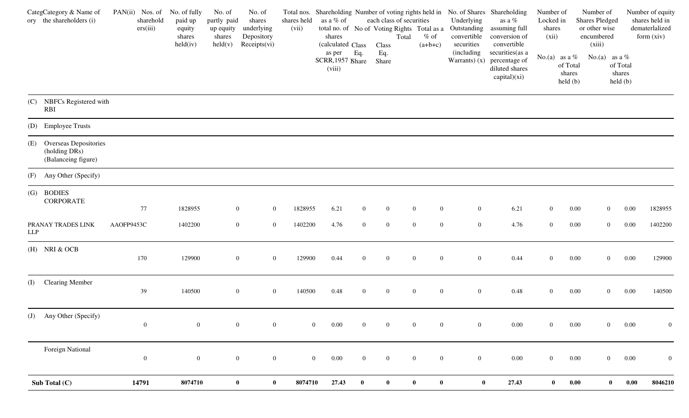|     | CategCategory & Name of<br>ory the shareholders (i)               | PAN(ii) Nos. of<br>sharehold<br>ers(iii) | No. of fully<br>paid up<br>equity<br>shares<br>held(iv) | No. of<br>partly paid<br>up equity<br>shares<br>$\text{held}(v)$ | No. of<br>shares<br>underlying<br>Depository<br>Receipts(vi) | shares held<br>(vii) | as a % of<br>shares<br>(calculated Class |                | each class of securities<br>total no. of No of Voting Rights Total as a<br>Total<br>Class | $%$ of<br>$(a+b+c)$                  | Total nos. Shareholding Number of voting rights held in No. of Shares Shareholding<br>Underlying<br>Outstanding<br>convertible<br>securities | as a $\%$<br>assuming full<br>conversion of<br>convertible                          | Number of<br>Locked in<br>shares<br>(xii) |                                                                  | Number of<br><b>Shares Pledged</b><br>or other wise<br>encumbered<br>(xiii) |                               | Number of equity<br>shares held in<br>dematerlalized<br>form (xiv) |
|-----|-------------------------------------------------------------------|------------------------------------------|---------------------------------------------------------|------------------------------------------------------------------|--------------------------------------------------------------|----------------------|------------------------------------------|----------------|-------------------------------------------------------------------------------------------|--------------------------------------|----------------------------------------------------------------------------------------------------------------------------------------------|-------------------------------------------------------------------------------------|-------------------------------------------|------------------------------------------------------------------|-----------------------------------------------------------------------------|-------------------------------|--------------------------------------------------------------------|
|     |                                                                   |                                          |                                                         |                                                                  |                                                              |                      | as per<br>SCRR, 1957 Share<br>(viii)     | Eq.            | Eq.<br>Share                                                                              |                                      | <i>(including</i>                                                                                                                            | securities (as a<br>Warrants) $(x)$ percentage of<br>diluted shares<br>capital)(xi) |                                           | No.(a) as a $%$<br>of Total<br>shares<br>$\text{held}(\text{b})$ | No.(a) as a $%$                                                             | of Total<br>shares<br>held(b) |                                                                    |
|     | (C) NBFCs Registered with<br><b>RBI</b>                           |                                          |                                                         |                                                                  |                                                              |                      |                                          |                |                                                                                           |                                      |                                                                                                                                              |                                                                                     |                                           |                                                                  |                                                                             |                               |                                                                    |
|     | (D) Employee Trusts                                               |                                          |                                                         |                                                                  |                                                              |                      |                                          |                |                                                                                           |                                      |                                                                                                                                              |                                                                                     |                                           |                                                                  |                                                                             |                               |                                                                    |
|     | (E) Overseas Depositories<br>(holding DRs)<br>(Balanceing figure) |                                          |                                                         |                                                                  |                                                              |                      |                                          |                |                                                                                           |                                      |                                                                                                                                              |                                                                                     |                                           |                                                                  |                                                                             |                               |                                                                    |
|     | (F) Any Other (Specify)                                           |                                          |                                                         |                                                                  |                                                              |                      |                                          |                |                                                                                           |                                      |                                                                                                                                              |                                                                                     |                                           |                                                                  |                                                                             |                               |                                                                    |
|     | (G) BODIES<br><b>CORPORATE</b>                                    | 77                                       | 1828955                                                 | $\mathbf{0}$                                                     | $\boldsymbol{0}$                                             | 1828955              | 6.21                                     | $\overline{0}$ | $\boldsymbol{0}$                                                                          | $\boldsymbol{0}$<br>$\boldsymbol{0}$ | $\mathbf{0}$                                                                                                                                 | 6.21                                                                                | $\overline{0}$                            | 0.00                                                             | $\overline{0}$                                                              | 0.00                          | 1828955                                                            |
| LLP | PRANAY TRADES LINK                                                | AAOFP9453C                               | 1402200                                                 | $\overline{0}$                                                   | $\boldsymbol{0}$                                             | 1402200              | 4.76                                     | $\mathbf{0}$   | $\boldsymbol{0}$                                                                          | $\boldsymbol{0}$<br>$\overline{0}$   | $\overline{0}$                                                                                                                               | 4.76                                                                                | $\overline{0}$                            | 0.00                                                             | $\overline{0}$                                                              | 0.00                          | 1402200                                                            |
|     | $(H)$ NRI & OCB                                                   | 170                                      | 129900                                                  | $\mathbf{0}$                                                     | $\boldsymbol{0}$                                             | 129900               | 0.44                                     | $\overline{0}$ | $\boldsymbol{0}$                                                                          | $\boldsymbol{0}$<br>$\overline{0}$   | $\mathbf{0}$                                                                                                                                 | 0.44                                                                                | $\overline{0}$                            | 0.00                                                             | $\overline{0}$                                                              | 0.00                          | 129900                                                             |
|     | (I) Clearing Member                                               | 39                                       | 140500                                                  | $\overline{0}$                                                   | $\boldsymbol{0}$                                             | 140500               | 0.48                                     | $\mathbf{0}$   | $\mathbf{0}$                                                                              | $\boldsymbol{0}$<br>$\boldsymbol{0}$ | $\mathbf{0}$                                                                                                                                 | 0.48                                                                                | $\overline{0}$                            | 0.00                                                             | $\overline{0}$                                                              | 0.00                          | 140500                                                             |
|     | (J) Any Other (Specify)                                           | $\overline{0}$                           | $\overline{0}$                                          | $\boldsymbol{0}$                                                 | $\boldsymbol{0}$                                             |                      | $\overline{0}$<br>$0.00\,$               | $\overline{0}$ | $\boldsymbol{0}$                                                                          | $\boldsymbol{0}$<br>$\boldsymbol{0}$ | $\mathbf{0}$                                                                                                                                 | $0.00\,$                                                                            | $\overline{0}$                            | 0.00                                                             | $\overline{0}$                                                              | 0.00                          | $\mathbf{0}$                                                       |
|     | <b>Foreign National</b>                                           | $\mathbf{0}$                             | $\overline{0}$                                          |                                                                  | $\mathbf{0}$<br>$\boldsymbol{0}$                             |                      | $\overline{0}$<br>$0.00\,$               | $\overline{0}$ | $\boldsymbol{0}$                                                                          | $\boldsymbol{0}$<br>$\mathbf{0}$     | $\mathbf{0}$                                                                                                                                 | $0.00\,$                                                                            | $\mathbf{0}$                              | $0.00\,$                                                         | $\mathbf{0}$                                                                | $0.00\,$                      | $\mathbf{0}$                                                       |
|     | Sub Total (C)                                                     | 14791                                    | 8074710                                                 | $\bf{0}$                                                         | $\boldsymbol{0}$                                             | 8074710              | 27.43                                    | $\bf{0}$       | $\bf{0}$                                                                                  | $\boldsymbol{0}$<br>$\bf{0}$         | $\bf{0}$                                                                                                                                     | 27.43                                                                               | $\boldsymbol{0}$                          | $\boldsymbol{0.00}$                                              | $\mathbf{0}$                                                                | $\boldsymbol{0.00}$           | 8046210                                                            |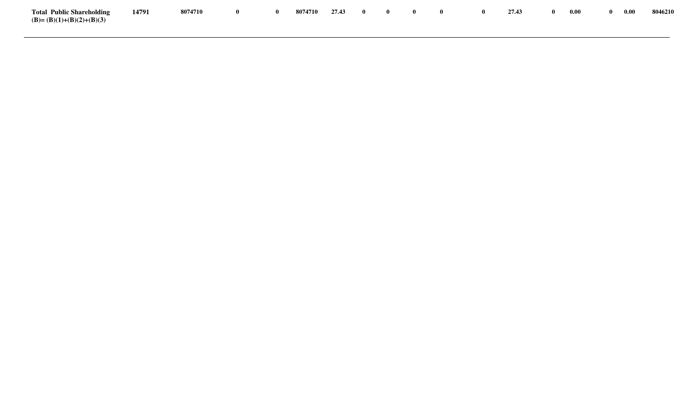| <b>Total Public Shareholding</b> | 14791 | 8074710 | $\mathbf{0}$ | 8074710 27.43 0 0 0 0 |  |  | $\bullet$ $\bullet$ | 27.43 | -0 | 0.00 | $\mathbf{0}$ | 0.00 | 8046210 |
|----------------------------------|-------|---------|--------------|-----------------------|--|--|---------------------|-------|----|------|--------------|------|---------|
| $(B)=(B)(1)+(B)(2)+(B)(3)$       |       |         |              |                       |  |  |                     |       |    |      |              |      |         |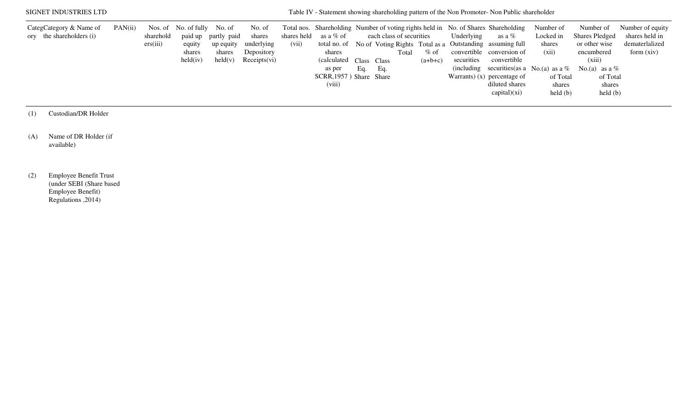| SIGNET INDUSTRIES LTD                               |         |                       |                                                                      |                                                                |                                                              |       |                                                                                                            |     |                                 |       |                     |                          | Table IV - Statement showing shareholding pattern of the Non Promoter- Non Public shareholder                                                                                                                                                                                                        |                                                                                            |                                                                                                                                                                                         |                                                                      |
|-----------------------------------------------------|---------|-----------------------|----------------------------------------------------------------------|----------------------------------------------------------------|--------------------------------------------------------------|-------|------------------------------------------------------------------------------------------------------------|-----|---------------------------------|-------|---------------------|--------------------------|------------------------------------------------------------------------------------------------------------------------------------------------------------------------------------------------------------------------------------------------------------------------------------------------------|--------------------------------------------------------------------------------------------|-----------------------------------------------------------------------------------------------------------------------------------------------------------------------------------------|----------------------------------------------------------------------|
| CategCategory & Name of<br>ory the shareholders (i) | PAN(ii) | sharehold<br>ers(iii) | Nos. of No. of fully No. of<br>equity<br>shares<br>$\text{held}(iv)$ | paid up partly paid<br>up equity<br>shares<br>$\text{held}(v)$ | No. of<br>shares<br>underlying<br>Depository<br>Receipts(vi) | (vii) | shares held as a % of<br>shares<br>(calculated Class Class)<br>as per<br>SCRR, 1957) Share Share<br>(viii) | Eq. | each class of securities<br>Eq. | Total | $%$ of<br>$(a+b+c)$ | Underlying<br>securities | Total nos. Shareholding Number of voting rights held in No. of Shares Shareholding<br>as a %<br>total no. of No of Voting Rights Total as a Outstanding assuming full<br>convertible conversion of<br>convertible<br>Warrants) $(x)$ percentage of<br>diluted shares<br>$\text{capital})(\text{xi})$ | Number of<br>Locked in<br>shares<br>(xii)<br>of Total<br>shares<br>$\text{held}(\text{b})$ | Number of<br><b>Shares Pledged</b><br>or other wise<br>encumbered<br>(xiii)<br>(including securities (as a No.(a) as a % No.(a) as a %<br>of Total<br>shares<br>$\text{held}(\text{b})$ | Number of equity<br>shares held in<br>dematerlalized<br>form $(xiv)$ |

(1) Custodian/DR Holder

(A) Name of DR Holder (if available)

(2) Employee Benefit Trust (under SEBI (Share based Employee Benefit) Regulations ,2014)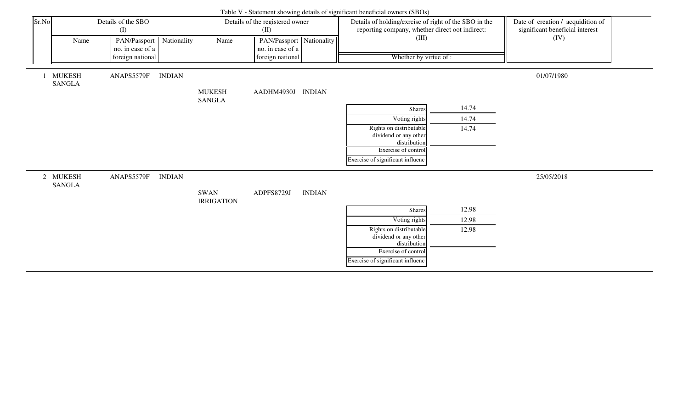|       |                                |                                  |               |                           |                                              |               | Table V - Statement showing details of significant beneficial owners (SBOs)                              |       |                                                                      |  |
|-------|--------------------------------|----------------------------------|---------------|---------------------------|----------------------------------------------|---------------|----------------------------------------------------------------------------------------------------------|-------|----------------------------------------------------------------------|--|
| Sr.No |                                | Details of the SBO<br>(I)        |               |                           | Details of the registered owner<br>(II)      |               | Details of holding/exrcise of right of the SBO in the<br>reporting company, whether direct oot indirect: |       | Date of creation / acquidition of<br>significant beneficial interest |  |
|       | Name                           | PAN/Passport<br>no. in case of a | Nationality   | Name                      | PAN/Passport Nationality<br>no. in case of a |               | (III)                                                                                                    |       | (IV)                                                                 |  |
|       |                                | foreign national                 |               |                           | foreign national                             |               | Whether by virtue of :                                                                                   |       |                                                                      |  |
|       | <b>MUKESH</b><br><b>SANGLA</b> | ANAPS5579F                       | <b>INDIAN</b> | <b>MUKESH</b>             | AADHM4930J INDIAN                            |               |                                                                                                          |       | 01/07/1980                                                           |  |
|       |                                |                                  |               | <b>SANGLA</b>             |                                              |               |                                                                                                          |       |                                                                      |  |
|       |                                |                                  |               |                           |                                              |               | Shares                                                                                                   | 14.74 |                                                                      |  |
|       |                                |                                  |               |                           |                                              |               | Voting rights                                                                                            | 14.74 |                                                                      |  |
|       |                                |                                  |               |                           |                                              |               | Rights on distributable<br>dividend or any other                                                         | 14.74 |                                                                      |  |
|       |                                |                                  |               |                           |                                              |               | distribution                                                                                             |       |                                                                      |  |
|       |                                |                                  |               |                           |                                              |               | Exercise of control                                                                                      |       |                                                                      |  |
|       |                                |                                  |               |                           |                                              |               | Exercise of significant influenc                                                                         |       |                                                                      |  |
|       | 2 MUKESH<br><b>SANGLA</b>      | ANAPS5579F                       | <b>INDIAN</b> |                           |                                              |               |                                                                                                          |       | 25/05/2018                                                           |  |
|       |                                |                                  |               | SWAN<br><b>IRRIGATION</b> | ADPFS8729J                                   | <b>INDIAN</b> |                                                                                                          |       |                                                                      |  |
|       |                                |                                  |               |                           |                                              |               | Shares                                                                                                   | 12.98 |                                                                      |  |
|       |                                |                                  |               |                           |                                              |               | Voting rights                                                                                            | 12.98 |                                                                      |  |
|       |                                |                                  |               |                           |                                              |               | Rights on distributable<br>dividend or any other                                                         | 12.98 |                                                                      |  |
|       |                                |                                  |               |                           |                                              |               | distribution                                                                                             |       |                                                                      |  |
|       |                                |                                  |               |                           |                                              |               | Exercise of control                                                                                      |       |                                                                      |  |
|       |                                |                                  |               |                           |                                              |               | Exercise of significant influenc                                                                         |       |                                                                      |  |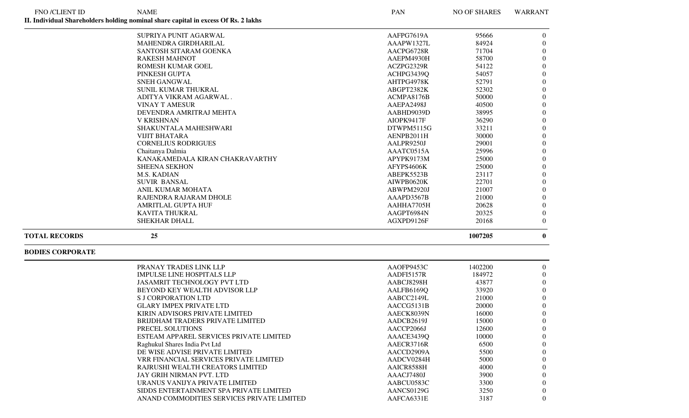| FNO /CLIENT ID       | <b>NAME</b>                                                                        | PAN        | <b>NO OF SHARES</b> | <b>WARRANT</b> |
|----------------------|------------------------------------------------------------------------------------|------------|---------------------|----------------|
|                      | II. Individual Shareholders holding nominal share capital in excess Of Rs. 2 lakhs |            |                     |                |
|                      | SUPRIYA PUNIT AGARWAL                                                              | AAFPG7619A | 95666               | $\theta$       |
|                      | <b>MAHENDRA GIRDHARILAL</b>                                                        | AAAPW1327L | 84924               | $\Omega$       |
|                      | SANTOSH SITARAM GOENKA                                                             | AACPG6728R | 71704               | $\Omega$       |
|                      | <b>RAKESH MAHNOT</b>                                                               | AAEPM4930H | 58700               | $\Omega$       |
|                      | <b>ROMESH KUMAR GOEL</b>                                                           | ACZPG2329R | 54122               | $\Omega$       |
|                      | PINKESH GUPTA                                                                      | ACHPG3439Q | 54057               | $\Omega$       |
|                      | <b>SNEH GANGWAL</b>                                                                | AHTPG4978K | 52791               | $\Omega$       |
|                      | <b>SUNIL KUMAR THUKRAL</b>                                                         | ABGPT2382K | 52302               | $\Omega$       |
|                      | ADITYA VIKRAM AGARWAL.                                                             | ACMPA8176B | 50000               | $\Omega$       |
|                      | <b>VINAY T AMESUR</b>                                                              | AAEPA2498J | 40500               | $\Omega$       |
|                      | DEVENDRA AMRITRAJ MEHTA                                                            | AABHD9039D | 38995               | $\Omega$       |
|                      | <b>V KRISHNAN</b>                                                                  | AIOPK9417F | 36290               | $\Omega$       |
|                      | <b>SHAKUNTALA MAHESHWARI</b>                                                       | DTWPM5115G | 33211               | $\Omega$       |
|                      | <b>VIJIT BHATARA</b>                                                               | AENPB2011H | 30000               | $\Omega$       |
|                      | <b>CORNELIUS RODRIGUES</b>                                                         | AALPR9250J | 29001               | $\Omega$       |
|                      | Chaitanya Dalmia                                                                   | AAATC0515A | 25996               | $\Omega$       |
|                      | KANAKAMEDALA KIRAN CHAKRAVARTHY                                                    | APYPK9173M | 25000               | $\overline{0}$ |
|                      | <b>SHEENA SEKHON</b>                                                               | AFYPS4606K | 25000               | $\overline{0}$ |
|                      | <b>M.S. KADIAN</b>                                                                 | ABEPK5523B | 23117               | $\Omega$       |
|                      | <b>SUVIR BANSAL</b>                                                                | AIWPB0620K | 22701               | $\Omega$       |
|                      | <b>ANIL KUMAR MOHATA</b>                                                           | ABWPM2920J | 21007               | $\Omega$       |
|                      | RAJENDRA RAJARAM DHOLE                                                             | AAAPD3567B | 21000               | $\Omega$       |
|                      | AMRITLAL GUPTA HUF                                                                 | AAHHA7705H | 20628               | $\Omega$       |
|                      | <b>KAVITA THUKRAL</b>                                                              | AAGPT6984N | 20325               | $\Omega$       |
|                      | <b>SHEKHAR DHALL</b>                                                               | AGXPD9126F | 20168               | $\theta$       |
| <b>TOTAL RECORDS</b> | 25                                                                                 |            | 1007205             | $\mathbf{0}$   |

## **BODIES CORPORATE**

| PRANAY TRADES LINK LLP                     | AAOFP9453C | 1402200 | $\Omega$     |
|--------------------------------------------|------------|---------|--------------|
| <b>IMPULSE LINE HOSPITALS LLP</b>          | AADFI5157R | 184972  | $\Omega$     |
| <b>JASAMRIT TECHNOLOGY PVT LTD</b>         | AABCJ8298H | 43877   | $\Omega$     |
| BEYOND KEY WEALTH ADVISOR LLP              | AALFB6169Q | 33920   | $\mathbf{0}$ |
| S J CORPORATION LTD                        | AABCC2149L | 21000   | $\Omega$     |
| <b>GLARY IMPEX PRIVATE LTD</b>             | AACCG5131B | 20000   | $\Omega$     |
| KIRIN ADVISORS PRIVATE LIMITED             | AAECK8039N | 16000   | $\Omega$     |
| BRIJDHAM TRADERS PRIVATE LIMITED           | AADCB2619J | 15000   | $\Omega$     |
| PRECEL SOLUTIONS                           | AACCP2066J | 12600   | $\theta$     |
| ESTEAM APPAREL SERVICES PRIVATE LIMITED    | AAACE3439Q | 10000   | $\theta$     |
| Raghukul Shares India Pvt Ltd              | AAECR3716R | 6500    | $\theta$     |
| DE WISE ADVISE PRIVATE LIMITED             | AACCD2909A | 5500    | $\theta$     |
| VRR FINANCIAL SERVICES PRIVATE LIMITED     | AADCV0284H | 5000    | $\theta$     |
| RAJRUSHI WEALTH CREATORS LIMITED           | AAICR8588H | 4000    | $\Omega$     |
| JAY GRIH NIRMAN PVT. LTD                   | AAACJ7480J | 3900    | $\Omega$     |
| URANUS VANIJYA PRIVATE LIMITED             | AABCU0583C | 3300    | $\Omega$     |
| SIDDS ENTERTAINMENT SPA PRIVATE LIMITED    | AANCS0129G | 3250    | $\theta$     |
| ANAND COMMODITIES SERVICES PRIVATE LIMITED | AAFCA6331E | 3187    | $\Omega$     |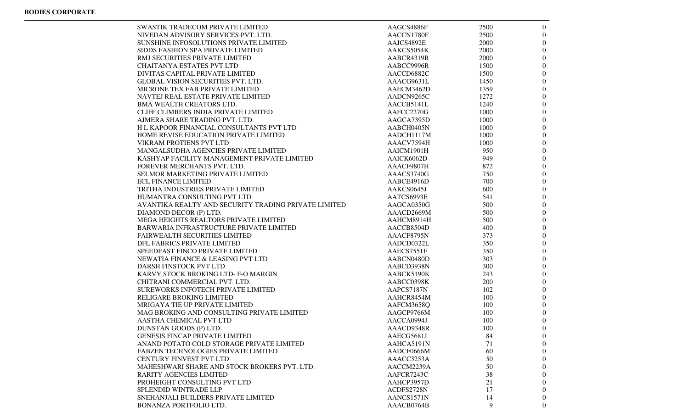| <b>SWASTIK TRADECOM PRIVATE LIMITED</b>              | AAGCS4886F | 2500 | $\overline{0}$ |
|------------------------------------------------------|------------|------|----------------|
| NIVEDAN ADVISORY SERVICES PVT. LTD.                  | AACCN1780F | 2500 | $\Omega$       |
| SUNSHINE INFOSOLUTIONS PRIVATE LIMITED               | AAJCS4892E | 2000 | $\overline{0}$ |
| SIDDS FASHION SPA PRIVATE LIMITED                    | AAKCS5054K | 2000 | $\overline{0}$ |
| RMJ SECURITIES PRIVATE LIMITED                       | AABCR4319R | 2000 | $\overline{0}$ |
| <b>CHAITANYA ESTATES PVT LTD</b>                     | AABCC9996R | 1500 | $\overline{0}$ |
| DIVITAS CAPITAL PRIVATE LIMITED                      | AACCD6882C | 1500 | $\overline{0}$ |
| <b>GLOBAL VISION SECURITIES PVT. LTD.</b>            | AAACG9631L | 1450 | $\overline{0}$ |
| MICRONE TEX FAB PRIVATE LIMITED                      | AAECM3462D | 1359 | $\overline{0}$ |
| NAVTEJ REAL ESTATE PRIVATE LIMITED                   | AADCN9265C | 1272 | $\theta$       |
| <b>BMA WEALTH CREATORS LTD.</b>                      | AACCB5141L | 1240 | $\theta$       |
| CLIFF CLIMBERS INDIA PRIVATE LIMITED                 | AAFCC2270G | 1000 | $\overline{0}$ |
| AJMERA SHARE TRADING PVT. LTD.                       | AAGCA7395D | 1000 | $\overline{0}$ |
| H L KAPOOR FINANCIAL CONSULTANTS PVT LTD             | AABCH0405N | 1000 | $\overline{0}$ |
| HOME REVISE EDUCATION PRIVATE LIMITED                | AADCH1117M | 1000 | 0              |
| <b>VIKRAM PROTIENS PVT LTD</b>                       | AAACV7594H | 1000 | 0              |
| MANGALSUDHA AGENCIES PRIVATE LIMITED                 | AAICM1901H | 950  | $\theta$       |
| KASHYAP FACILITY MANAGEMENT PRIVATE LIMITED          | AAICK6062D | 949  | $\theta$       |
| FOREVER MERCHANTS PVT. LTD.                          | AAACF9807H | 872  | $\theta$       |
| <b>SELMOR MARKETING PRIVATE LIMITED</b>              | AAACS3740G | 750  | $\overline{0}$ |
| <b>ECL FINANCE LIMITED</b>                           | AABCE4916D | 700  | $\overline{0}$ |
| TRITHA INDUSTRIES PRIVATE LIMITED                    | AAKCS0645J | 600  | $\overline{0}$ |
| HUMANTRA CONSULTING PVT LTD                          | AATCS6993E | 541  | 0              |
| AVANTIKA REALTY AND SECURITY TRADING PRIVATE LIMITED | AAGCA0350G | 500  | $\overline{0}$ |
| DIAMOND DECOR (P) LTD.                               | AAACD2669M | 500  | $\overline{0}$ |
| MEGA HEIGHTS REALTORS PRIVATE LIMITED                | AAHCM8914H | 500  | $\overline{0}$ |
| BARWARIA INFRASTRUCTURE PRIVATE LIMITED              | AACCB8504D | 400  | $\theta$       |
| <b>FAIRWEALTH SECURITIES LIMITED</b>                 | AAACF8795N | 373  | $\theta$       |
| DFL FABRICS PRIVATE LIMITED                          | AADCD0322L | 350  | $\overline{0}$ |
| SPEEDFAST FINCO PRIVATE LIMITED                      | AAECS7551F | 350  | $\overline{0}$ |
| NEWATIA FINANCE & LEASING PVT LTD                    | AABCN0480D | 303  | $\overline{0}$ |
| DARSH FINSTOCK PVT LTD                               | AABCD3938N | 300  | 0              |
| KARVY STOCK BROKING LTD- F-O MARGIN                  | AABCK5190K | 243  | 0              |
| CHITRANI COMMERCIAL PVT. LTD.                        | AABCC0398K | 200  | 0              |
| SUREWORKS INFOTECH PRIVATE LIMITED                   | AAPCS7187N | 102  | $\theta$       |
| <b>RELIGARE BROKING LIMITED</b>                      | AAHCR8454M | 100  | $\theta$       |
| MRIGAYA TIE UP PRIVATE LIMITED                       | AAFCM3658Q | 100  | $\theta$       |
| MAG BROKING AND CONSULTING PRIVATE LIMITED           | AAGCP9766M | 100  | $\overline{0}$ |
| AASTHA CHEMICAL PVT LTD                              | AACCA0994J | 100  | $\overline{0}$ |
| DUNSTAN GOODS (P) LTD.                               | AAACD9348R | 100  | $\overline{0}$ |
| <b>GENESIS FINCAP PRIVATE LIMITED</b>                | AAECG5681J | 84   | $\overline{0}$ |
| ANAND POTATO COLD STORAGE PRIVATE LIMITED            | AAHCA5191N | 71   | $\theta$       |
| <b>FABZEN TECHNOLOGIES PRIVATE LIMITED</b>           | AADCF0666M | 60   | $\theta$       |
| <b>CENTURY FINVEST PVT LTD</b>                       | AAACC3253A | 50   |                |
| MAHESHWARI SHARE AND STOCK BROKERS PVT. LTD.         | AACCM2239A | 50   |                |
| <b>RARITY AGENCIES LIMITED</b>                       | AAFCR7243C | 38   | $\theta$       |
| PROHEIGHT CONSULTING PVT LTD                         | AAHCP3957D | 21   | $_{0}$         |
| SPLENDID WINTRADE LLP                                | ACDFS2728N | 17   | 0              |
| SNEHANJALI BUILDERS PRIVATE LIMITED                  | AANCS1571N | 14   | $\theta$       |
| BONANZA PORTFOLIO LTD.                               | AAACB0764B | 9    | $\overline{0}$ |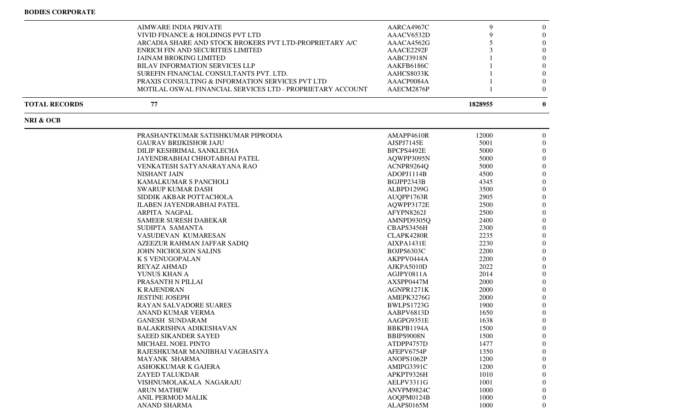$\blacksquare$ 

|                      | AIMWARE INDIA PRIVATE                                      | AARCA4967C | 9       | $\theta$       |
|----------------------|------------------------------------------------------------|------------|---------|----------------|
|                      | VIVID FINANCE & HOLDINGS PVT LTD                           | AAACV6532D | 9       | $\overline{0}$ |
|                      | ARCADIA SHARE AND STOCK BROKERS PVT LTD-PROPRIETARY A/C    | AAACA4562G | 5       | $\left($       |
|                      | ENRICH FIN AND SECURITIES LIMITED                          | AAACE2292F |         | $\Omega$       |
|                      | <b>JAINAM BROKING LIMITED</b>                              | AABCJ3918N |         | $\Omega$       |
|                      | <b>BILAV INFORMATION SERVICES LLP</b>                      | AAKFB6186C |         | $\Omega$       |
|                      | SUREFIN FINANCIAL CONSULTANTS PVT. LTD.                    | AAHCS8033K |         | $\Omega$       |
|                      | PRAXIS CONSULTING & INFORMATION SERVICES PVT LTD           | AAACP0084A |         | $\left($       |
|                      | MOTILAL OSWAL FINANCIAL SERVICES LTD - PROPRIETARY ACCOUNT | AAECM2876P |         | $\Omega$       |
| <b>TOTAL RECORDS</b> | 77                                                         |            | 1828955 | $\mathbf{0}$   |
| NRI & OCB            |                                                            |            |         |                |
|                      | PRASHANTKUMAR SATISHKUMAR PIPRODIA                         | AMAPP4610R | 12000   | $\overline{0}$ |
|                      | <b>GAURAV BRIJKISHOR JAJU</b>                              | AJSPJ7145E | 5001    | $\Omega$       |
|                      | DILIP KESHRIMAL SANKLECHA                                  | BPCPS4492E | 5000    | $\left($       |
|                      | JAYENDRABHAI CHHOTABHAI PATEL                              | AQWPP3095N | 5000    | $\left($       |
|                      | VENKATESH SATYANARAYANA RAO                                | ACNPR9264Q | 5000    | $\left($       |
|                      | NISHANT JAIN                                               | ADOPJ1114B | 4500    | $\left($       |
|                      | KAMALKUMAR S PANCHOLI                                      | BGJPP2343B | 4345    | $\Omega$       |
|                      | <b>SWARUP KUMAR DASH</b>                                   | ALBPD1299G | 3500    | $\Omega$       |
|                      | SIDDIK AKBAR POTTACHOLA                                    | AUQPP1763R | 2905    | $\Omega$       |
|                      | <b>ILABEN JAYENDRABHAI PATEL</b>                           | AQWPP3172E | 2500    | $\Omega$       |
|                      | ARPITA NAGPAL                                              | AFYPN8262J | 2500    | $\Omega$       |
|                      | <b>SAMEER SURESH DABEKAR</b>                               | AMNPD9305Q | 2400    | $\Omega$       |
|                      | SUDIPTA SAMANTA                                            | CBAPS3456H | 2300    | $\left($       |
|                      | VASUDEVAN KUMARESAN                                        | CLAPK4280R | 2235    | $\overline{0}$ |
|                      | AZEEZUR RAHMAN JAFFAR SADIQ                                | AIXPA1431E | 2230    | $\left($       |
|                      | JOHN NICHOLSON SALINS                                      | BOJPS6303C | 2200    | $\Omega$       |
|                      | <b>K S VENUGOPALAN</b>                                     | AKPPV0444A | 2200    | $\Omega$       |
|                      |                                                            |            |         | $\Omega$       |
|                      | <b>REYAZ AHMAD</b>                                         | AJKPA5010D | 2022    |                |
|                      | YUNUS KHAN A                                               | AGJPY0811A | 2014    | $\Omega$       |
|                      | PRASANTH N PILLAI                                          | AXSPP0447M | 2000    | $\Omega$       |
|                      | <b>K RAJENDRAN</b>                                         | AGNPR1271K | 2000    | $\left($       |
|                      | <b>JESTINE JOSEPH</b>                                      | AMEPK3276G | 2000    | $\overline{0}$ |
|                      | <b>RAYAN SALVADORE SUARES</b>                              | BWLPS1723G | 1900    | $\overline{0}$ |
|                      | ANAND KUMAR VERMA                                          | AABPV6813D | 1650    | $\Omega$       |
|                      | <b>GANESH SUNDARAM</b>                                     | AAGPG9351E | 1638    | $\Omega$       |
|                      | BALAKRISHNA ADIKESHAVAN                                    | BBKPB1194A | 1500    | $\overline{0}$ |
|                      | SAEED SIKANDER SAYED                                       | BBIPS9008N | 1500    | $\Omega$       |
|                      | MICHAEL NOEL PINTO                                         | ATDPP4757D | 1477    | $\theta$       |
|                      | RAJESHKUMAR MANJIBHAI VAGHASIYA                            | AFEPV6754P | 1350    | $\theta$       |
|                      | <b>MAYANK SHARMA</b>                                       | ANOPS1062P | 1200    | $\theta$       |
|                      | ASHOKKUMAR K GAJERA                                        | AMIPG3391C | 1200    | $\theta$       |
|                      | ZAYED TALUKDAR                                             | APKPT9326H | 1010    | $\theta$       |
|                      | VISHNUMOLAKALA NAGARAJU                                    | AELPV3311G | 1001    |                |
|                      | <b>ARUN MATHEW</b>                                         | ANVPM9824C | 1000    | 0              |
|                      | ANIL PERMOD MALIK                                          | AOQPM0124B | 1000    | $\Omega$       |
|                      | <b>ANAND SHARMA</b>                                        | ALAPS0165M | 1000    | $\overline{0}$ |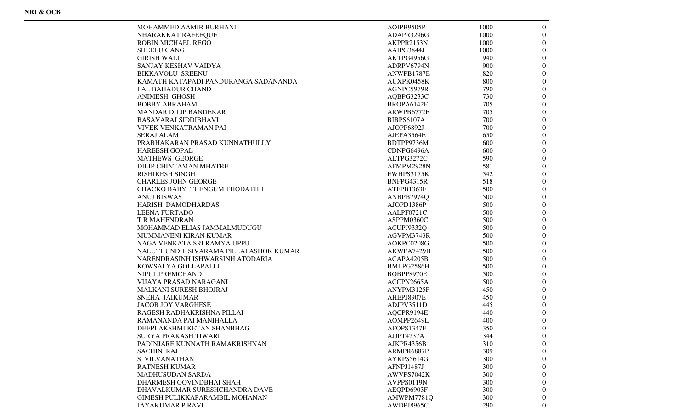| MOHAMMED AAMIR BURHANI                  | AOIPB9505P |      |                  |
|-----------------------------------------|------------|------|------------------|
|                                         |            | 1000 | $\mathbf{0}$     |
| NHARAKKAT RAFEEQUE                      | ADAPR3296G | 1000 | 0                |
| <b>ROBIN MICHAEL REGO</b>               | AKPPR2153N | 1000 | 0                |
| SHEELU GANG.                            | AAIPG3844J | 1000 | 0                |
| <b>GIRISH WALI</b>                      | AKTPG4956G | 940  | 0                |
| SANJAY KESHAV VAIDYA                    | ADRPV6794N | 900  | 0                |
| <b>BIKKAVOLU SREENU</b>                 | ANWPB1787E | 820  | 0                |
| KAMATH KATAPADI PANDURANGA SADANANDA    | AUXPK0458K | 800  | 0                |
| <b>LAL BAHADUR CHAND</b>                | AGNPC5979R | 790  | 0                |
| <b>ANIMESH GHOSH</b>                    | AQBPG3233C | 730  | 0                |
| <b>BOBBY ABRAHAM</b>                    | BROPA6142F | 705  | 0                |
| <b>MANDAR DILIP BANDEKAR</b>            | ARWPB6772F | 705  | 0                |
| <b>BASAVARAJ SIDDIBHAVI</b>             | BIBPS6107A | 700  | 0                |
| VIVEK VENKATRAMAN PAI                   | AJOPP6892J | 700  | 0                |
| <b>SERAJ ALAM</b>                       | AJEPA3564E | 650  | 0                |
| PRABHAKARAN PRASAD KUNNATHULLY          | BDTPP9736M | 600  | 0                |
| <b>HAREESH GOPAL</b>                    | CDNPG6496A | 600  | 0                |
| <b>MATHEWS GEORGE</b>                   | ALTPG3272C | 590  | 0                |
| DILIP CHINTAMAN MHATRE                  | AFMPM2928N | 581  | 0                |
| <b>RISHIKESH SINGH</b>                  | EWHPS3175K | 542  | 0                |
| <b>CHARLES JOHN GEORGE</b>              | BNFPG4315R | 518  | 0                |
| CHACKO BABY THENGUM THODATHIL           | ATFPB1363F | 500  | 0                |
| <b>ANUJ BISWAS</b>                      | ANBPB7974Q | 500  | 0                |
| HARISH DAMODHARDAS                      | AJOPD1386P | 500  | 0                |
| <b>LEENA FURTADO</b>                    | AALPF0721C | 500  | 0                |
| <b>T R MAHENDRAN</b>                    | ASPPM0360C | 500  | 0                |
| MOHAMMAD ELIAS JAMMALMUDUGU             | ACUPJ9332Q | 500  | 0                |
| MUMMANENI KIRAN KUMAR                   | AGVPM3743R | 500  | 0                |
| NAGA VENKATA SRI RAMYA UPPU             | AOKPC0208G | 500  | 0                |
| NALUTHUNDIL SIVARAMA PILLAI ASHOK KUMAR | AKWPA7429H | 500  | 0                |
| NARENDRASINH ISHWARSINH ATODARIA        | ACAPA4205B | 500  | 0                |
| KOWSALYA GOLLAPALLI                     | BMLPG2586H | 500  | 0                |
|                                         |            |      | 0                |
| NIPUL PREMCHAND                         | BOBPP8970E | 500  |                  |
| VIJAYA PRASAD NARAGANI                  | ACCPN2665A | 500  | 0                |
| MALKANI SURESH BHOJRAJ                  | ANYPM3125F | 450  | 0                |
| <b>SNEHA JAIKUMAR</b>                   | AHEPJ8907E | 450  | 0                |
| <b>JACOB JOY VARGHESE</b>               | ADJPV3511D | 445  | 0                |
| RAGESH RADHAKRISHNA PILLAI              | AQCPR9194E | 440  | 0                |
| RAMANANDA PAI MANIHALLA                 | AOMPP2649L | 400  | 0                |
| DEEPLAKSHMI KETAN SHANBHAG              | AFOPS1347F | 350  | $\boldsymbol{0}$ |
| <b>SURYA PRAKASH TIWARI</b>             | AJJPT4237A | 344  | $\theta$         |
| PADINJARE KUNNATH RAMAKRISHNAN          | AJKPR4356B | 310  | $\Omega$         |
| <b>SACHIN RAJ</b>                       | ARMPR6887P | 309  | $^{(1)}$         |
| <b>S VILVANATHAN</b>                    | AYKPS5614G | 300  | 0                |
| <b>RATNESH KUMAR</b>                    | AFNPJ1487J | 300  |                  |
| <b>MADHUSUDAN SARDA</b>                 | AWVPS7042K | 300  | $^{(1)}$         |
| DHARMESH GOVINDBHAI SHAH                | AVPPS0119N | 300  |                  |
| DHAVALKUMAR SURESHCHANDRA DAVE          | AEQPD6903F | 300  | 0                |
| GIMESH PULIKKAPARAMBIL MOHANAN          | AMWPM7781Q | 300  | 0                |
| <b>JAYAKUMAR P RAVI</b>                 | AWDPJ8965C | 290  | $\overline{0}$   |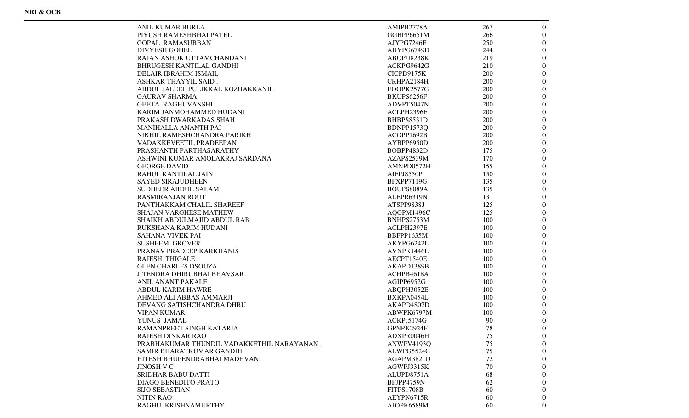| ANIL KUMAR BURLA                            | AMIPB2778A               | 267 | $\overline{0}$   |
|---------------------------------------------|--------------------------|-----|------------------|
| PIYUSH RAMESHBHAI PATEL                     | GGBPP6651M               | 266 | $\theta$         |
| GOPAL RAMASUBBAN                            | AJYPG7246F               | 250 | $\overline{0}$   |
| DIVYESH GOHEL                               | AHYPG6749D               | 244 | $\boldsymbol{0}$ |
| RAJAN ASHOK UTTAMCHANDANI                   | ABOPU8238K               | 219 | $\overline{0}$   |
| BHRUGESH KANTILAL GANDHI                    | ACKPG9642G               | 210 | $\boldsymbol{0}$ |
| DELAIR IBRAHIM ISMAIL                       | CICPD9175K               | 200 | 0                |
| ASHKAR THAYYIL SAID .                       | CRHPA2184H               | 200 | 0                |
| ABDUL JALEEL PULIKKAL KOZHAKKANIL           | EOOPK2577G               | 200 | $\overline{0}$   |
| GAURAV SHARMA                               | BKUPS6256F               | 200 | $\theta$         |
| GEETA RAGHUVANSHI                           | ADVPT5047N               | 200 | $\theta$         |
| KARIM JANMOHAMMED HUDANI                    | ACLPH2396F               | 200 | $\mathbf{0}$     |
| PRAKASH DWARKADAS SHAH                      | BHBPS8531D               | 200 | $\boldsymbol{0}$ |
| MANIHALLA ANANTH PAI                        | BDNPP1573Q               | 200 | $\mathbf{0}$     |
| NIKHIL RAMESHCHANDRA PARIKH                 | ACOPP1692B               | 200 | 0                |
| VADAKKEVEETIL PRADEEPAN                     | AYBPP6950D               | 200 | $\overline{0}$   |
| PRASHANTH PARTHASARATHY                     | BOBPP4832D               | 175 | 0                |
| ASHWINI KUMAR AMOLAKRAJ SARDANA             | AZAPS2539M               | 170 | 0                |
| GEORGE DAVID                                | AMNPD0572H               | 155 | 0                |
| RAHUL KANTILAL JAIN                         | AIFPJ8550P               | 150 | $\theta$         |
| SAYED SIRAJUDHEEN                           | BFXPP7119G               | 135 | $\boldsymbol{0}$ |
| SUDHEER ABDUL SALAM                         | BOUPS8089A               | 135 | $\mathbf{0}$     |
| RASMIRANJAN ROUT                            | ALEPR6319N               | 131 | 0                |
| PANTHAKKAM CHALIL SHAREEF                   | ATSPP9838J               | 125 | 0                |
| SHAJAN VARGHESE MATHEW                      |                          | 125 | 0                |
|                                             | AQGPM1496C<br>BNHPS2753M |     | $\overline{0}$   |
| SHAIKH ABDULMAJID ABDUL RAB                 |                          | 100 |                  |
| RUKSHANA KARIM HUDANI                       | ACLPH2397E               | 100 | 0                |
| SAHANA VIVEK PAI                            | BBFPP1635M               | 100 | $\theta$         |
| <b>SUSHEEM GROVER</b>                       | AKYPG6242L               | 100 | $\theta$         |
| PRANAV PRADEEP KARKHANIS                    | AVXPK1446L               | 100 | $\mathbf{0}$     |
| RAJESH THIGALE                              | AECPT1540E               | 100 | $\mathbf{0}$     |
| GLEN CHARLES DSOUZA                         | AKAPD1389B               | 100 | 0                |
| JITENDRA DHIRUBHAI BHAVSAR                  | ACHPB4618A               | 100 | 0                |
| ANIL ANANT PAKALE                           | AGIPP6952G               | 100 | 0                |
| ABDUL KARIM HAWRE                           | ABQPH3052E               | 100 | 0                |
| AHMED ALI ABBAS AMMARJI                     | BXKPA0454L               | 100 | $\theta$         |
| DEVANG SATISHCHANDRA DHRU                   | AKAPD4802D               | 100 | $\theta$         |
| VIPAN KUMAR                                 | ABWPK6797M               | 100 | $\theta$         |
| YUNUS JAMAL                                 | ACKPJ5174G               | 90  | $\mathbf{0}$     |
| RAMANPREET SINGH KATARIA                    | GPNPK2924F               | 78  | $\boldsymbol{0}$ |
| RAJESH DINKAR RAO                           | ADXPR0046H               | 75  | $\overline{0}$   |
| PRABHAKUMAR THUNDIL VADAKKETHIL NARAYANAN . | ANWPV4193Q               | 75  | 0                |
| SAMIR BHARATKUMAR GANDHI                    | ALWPG5524C               | 75  | $\theta$         |
| HITESH BHUPENDRABHAI MADHVANI               | AGAPM3821D               | 72  | 0                |
| JINOSH V C                                  | AGWPJ3315K               | 70  | $\theta$         |
| SRIDHAR BABU DATTI                          | ALUPD8751A               | 68  | 0                |
| DIAGO BENEDITO PRATO                        | BFJPP4759N               | 62  | 0                |
| SIJO SEBASTIAN                              | <b>FITPS1708B</b>        | 60  | 0                |
| NITIN RAO                                   | AEYPN6715R               | 60  | 0                |
| RAGHU KRISHNAMURTHY                         | AJOPK6589M               | 60  | $\theta$         |
|                                             |                          |     |                  |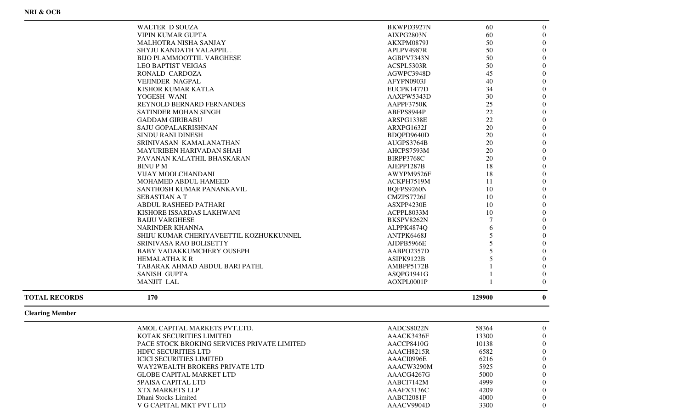| 170                                               |            | 129900 | $\mathbf{0}$     |
|---------------------------------------------------|------------|--------|------------------|
| <b>MANJIT LAL</b>                                 | AOXPL0001P |        | $\Omega$         |
| <b>SANISH GUPTA</b>                               | ASQPG1941G |        | $\boldsymbol{0}$ |
| TABARAK AHMAD ABDUL BARI PATEL                    | AMBPP5172B |        | $\boldsymbol{0}$ |
| <b>HEMALATHA K R</b>                              | ASIPK9122B | 5      | $\boldsymbol{0}$ |
| <b>BABY VADAKKUMCHERY OUSEPH</b>                  | AABPO2357D | 5      | $\overline{0}$   |
| SRINIVASA RAO BOLISETTY                           | AJDPB5966E | 5      | $\boldsymbol{0}$ |
| SHIJU KUMAR CHERIYAVEETTIL KOZHUKKUNNEL           | ANTPK6468J | 5      | $\overline{0}$   |
| <b>NARINDER KHANNA</b>                            | ALPPK4874Q | 6      | $\overline{0}$   |
| <b>BAIJU VARGHESE</b>                             | BKSPV8262N |        | $\overline{0}$   |
| KISHORE ISSARDAS LAKHWANI                         | ACPPL8033M | 10     | $\boldsymbol{0}$ |
| <b>ABDUL RASHEED PATHARI</b>                      | ASXPP4230E | 10     | $\overline{0}$   |
| <b>SEBASTIAN A T</b>                              | CMZPS7726J | 10     | $\overline{0}$   |
| SANTHOSH KUMAR PANANKAVIL                         | BQFPS9260N | 10     | $\boldsymbol{0}$ |
| <b>MOHAMED ABDUL HAMEED</b>                       | ACKPH7519M | 11     | $\overline{0}$   |
| <b>VIJAY MOOLCHANDANI</b>                         | AWYPM9526F | 18     | $\mathbf{0}$     |
| <b>BINUPM</b>                                     | AJEPP1287B | 18     | $\overline{0}$   |
| PAVANAN KALATHIL BHASKARAN                        | BIRPP3768C | 20     | $\boldsymbol{0}$ |
| <b>MAYURIBEN HARIVADAN SHAH</b>                   | AHCPS7593M | 20     | $\boldsymbol{0}$ |
| SRINIVASAN KAMALANATHAN                           | AUGPS3764B | 20     | $\boldsymbol{0}$ |
| <b>SINDU RANI DINESH</b>                          | BDQPD9640D | 20     | $\boldsymbol{0}$ |
| SAJU GOPALAKRISHNAN                               | ARXPG1632J | 20     | $\boldsymbol{0}$ |
| <b>GADDAM GIRIBABU</b>                            | ARSPG1338E | 22     | $\overline{0}$   |
| <b>SATINDER MOHAN SINGH</b>                       | ABFPS8944P | 22     | $\boldsymbol{0}$ |
| REYNOLD BERNARD FERNANDES                         | AAPPF3750K | 25     | $\boldsymbol{0}$ |
| YOGESH WANI                                       | AAXPW5343D | 30     | $\boldsymbol{0}$ |
| KISHOR KUMAR KATLA                                | EUCPK1477D | 34     | $\boldsymbol{0}$ |
| <b>VEJINDER NAGPAL</b>                            | AFYPN0903J | 40     | $\boldsymbol{0}$ |
| RONALD CARDOZA                                    | AGWPC3948D | 45     | $\boldsymbol{0}$ |
| <b>LEO BAPTIST VEIGAS</b>                         | ACSPL5303R | 50     | $\boldsymbol{0}$ |
| <b>BIJO PLAMMOOTTIL VARGHESE</b>                  | AGBPV7343N | 50     | $\overline{0}$   |
| SHYJU KANDATH VALAPPIL.                           | APLPV4987R | 50     | $\boldsymbol{0}$ |
| MALHOTRA NISHA SANJAY                             | AKXPM0879J | 50     | $\boldsymbol{0}$ |
| <b>WALTER D SOUZA</b><br><b>VIPIN KUMAR GUPTA</b> | AIXPG2803N | 60     | $\overline{0}$   |

## **Clearing Member**

**TOTAL RECORDS 170**

| AMOL CAPITAL MARKETS PVT.LTD.               | AADCS8022N | 58364 | $\Omega$ |
|---------------------------------------------|------------|-------|----------|
| KOTAK SECURITIES LIMITED                    | AAACK3436F | 13300 | $\theta$ |
| PACE STOCK BROKING SERVICES PRIVATE LIMITED | AACCP8410G | 10138 | $\Omega$ |
| <b>HDFC SECURITIES LTD</b>                  | AAACH8215R | 6582  | $\theta$ |
| <b>ICICI SECURITIES LIMITED</b>             | AAACI0996E | 6216  | $\Omega$ |
| WAY2WEALTH BROKERS PRIVATE LTD              | AAACW3290M | 5925  | $\theta$ |
| <b>GLOBE CAPITAL MARKET LTD</b>             | AAACG4267G | 5000  | $\Omega$ |
| <b>5PAISA CAPITAL LTD</b>                   | AABCI7142M | 4999  | $\theta$ |
| <b>XTX MARKETS LLP</b>                      | AAAFX3136C | 4209  | $\theta$ |
| Dhani Stocks Limited                        | AABCI2081F | 4000  | $\theta$ |
| V G CAPITAL MKT PVT LTD                     | AAACV9904D | 3300  | $\Omega$ |
|                                             |            |       |          |